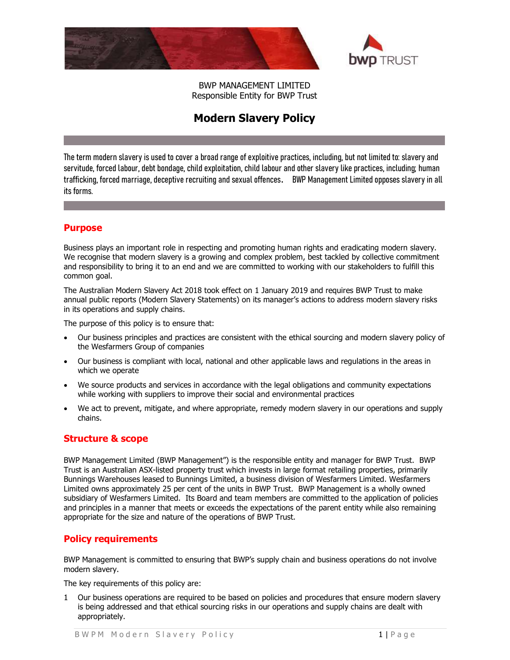



BWP MANAGEMENT LIMITED Responsible Entity for BWP Trust

# Modern Slavery Policy

The term modern slavery is used to cover a broad range of exploitive practices, including, but not limited to: slavery and servitude, forced labour, debt bondage, child exploitation, child labour and other slavery like practices, including; human trafficking, forced marriage, deceptive recruiting and sexual offences. BWP Management Limited opposes slavery in all its forms.

## Purpose

Business plays an important role in respecting and promoting human rights and eradicating modern slavery. We recognise that modern slavery is a growing and complex problem, best tackled by collective commitment and responsibility to bring it to an end and we are committed to working with our stakeholders to fulfill this common goal.

The Australian Modern Slavery Act 2018 took effect on 1 January 2019 and requires BWP Trust to make annual public reports (Modern Slavery Statements) on its manager's actions to address modern slavery risks in its operations and supply chains.

The purpose of this policy is to ensure that:

- Our business principles and practices are consistent with the ethical sourcing and modern slavery policy of the Wesfarmers Group of companies
- Our business is compliant with local, national and other applicable laws and regulations in the areas in which we operate
- We source products and services in accordance with the legal obligations and community expectations while working with suppliers to improve their social and environmental practices
- We act to prevent, mitigate, and where appropriate, remedy modern slavery in our operations and supply chains.

### Structure & scope

BWP Management Limited (BWP Management") is the responsible entity and manager for BWP Trust. BWP Trust is an Australian ASX-listed property trust which invests in large format retailing properties, primarily Bunnings Warehouses leased to Bunnings Limited, a business division of Wesfarmers Limited. Wesfarmers Limited owns approximately 25 per cent of the units in BWP Trust. BWP Management is a wholly owned subsidiary of Wesfarmers Limited. Its Board and team members are committed to the application of policies and principles in a manner that meets or exceeds the expectations of the parent entity while also remaining appropriate for the size and nature of the operations of BWP Trust.

### Policy requirements

BWP Management is committed to ensuring that BWP's supply chain and business operations do not involve modern slavery.

The key requirements of this policy are:

1 Our business operations are required to be based on policies and procedures that ensure modern slavery is being addressed and that ethical sourcing risks in our operations and supply chains are dealt with appropriately.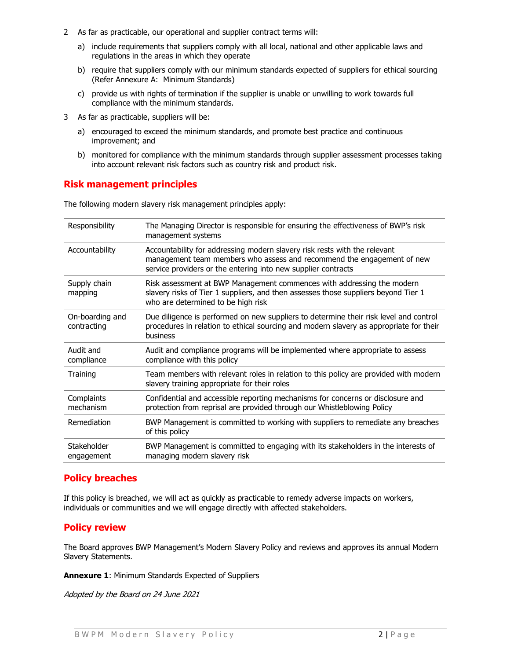- 2 As far as practicable, our operational and supplier contract terms will:
	- a) include requirements that suppliers comply with all local, national and other applicable laws and regulations in the areas in which they operate
	- b) require that suppliers comply with our minimum standards expected of suppliers for ethical sourcing (Refer Annexure A: Minimum Standards)
	- c) provide us with rights of termination if the supplier is unable or unwilling to work towards full compliance with the minimum standards.
- 3 As far as practicable, suppliers will be:
	- a) encouraged to exceed the minimum standards, and promote best practice and continuous improvement; and
	- b) monitored for compliance with the minimum standards through supplier assessment processes taking into account relevant risk factors such as country risk and product risk.

### Risk management principles

The following modern slavery risk management principles apply:

| Responsibility                 | The Managing Director is responsible for ensuring the effectiveness of BWP's risk<br>management systems                                                                                                              |
|--------------------------------|----------------------------------------------------------------------------------------------------------------------------------------------------------------------------------------------------------------------|
| Accountability                 | Accountability for addressing modern slavery risk rests with the relevant<br>management team members who assess and recommend the engagement of new<br>service providers or the entering into new supplier contracts |
| Supply chain<br>mapping        | Risk assessment at BWP Management commences with addressing the modern<br>slavery risks of Tier 1 suppliers, and then assesses those suppliers beyond Tier 1<br>who are determined to be high risk                   |
| On-boarding and<br>contracting | Due diligence is performed on new suppliers to determine their risk level and control<br>procedures in relation to ethical sourcing and modern slavery as appropriate for their<br>business                          |
| Audit and<br>compliance        | Audit and compliance programs will be implemented where appropriate to assess<br>compliance with this policy                                                                                                         |
| Training                       | Team members with relevant roles in relation to this policy are provided with modern<br>slavery training appropriate for their roles                                                                                 |
| Complaints<br>mechanism        | Confidential and accessible reporting mechanisms for concerns or disclosure and<br>protection from reprisal are provided through our Whistleblowing Policy                                                           |
| Remediation                    | BWP Management is committed to working with suppliers to remediate any breaches<br>of this policy                                                                                                                    |
| Stakeholder<br>engagement      | BWP Management is committed to engaging with its stakeholders in the interests of<br>managing modern slavery risk                                                                                                    |

### Policy breaches

If this policy is breached, we will act as quickly as practicable to remedy adverse impacts on workers, individuals or communities and we will engage directly with affected stakeholders.

### Policy review

The Board approves BWP Management's Modern Slavery Policy and reviews and approves its annual Modern Slavery Statements.

Annexure 1: Minimum Standards Expected of Suppliers

Adopted by the Board on 24 June 2021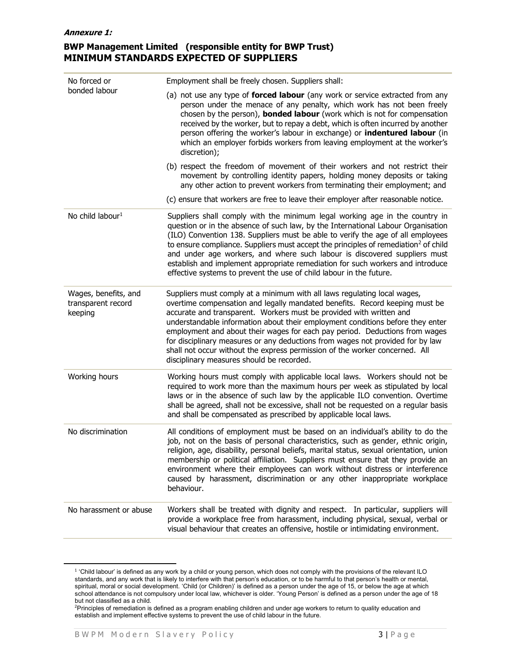### BWP Management Limited (responsible entity for BWP Trust) MINIMUM STANDARDS EXPECTED OF SUPPLIERS

| No forced or<br>bonded labour                         | Employment shall be freely chosen. Suppliers shall:                                                                                                                                                                                                                                                                                                                                                                                                                                                                                                                                                           |
|-------------------------------------------------------|---------------------------------------------------------------------------------------------------------------------------------------------------------------------------------------------------------------------------------------------------------------------------------------------------------------------------------------------------------------------------------------------------------------------------------------------------------------------------------------------------------------------------------------------------------------------------------------------------------------|
|                                                       | (a) not use any type of forced labour (any work or service extracted from any<br>person under the menace of any penalty, which work has not been freely<br>chosen by the person), <b>bonded labour</b> (work which is not for compensation<br>received by the worker, but to repay a debt, which is often incurred by another<br>person offering the worker's labour in exchange) or <b>indentured labour</b> (in<br>which an employer forbids workers from leaving employment at the worker's<br>discretion);                                                                                                |
|                                                       | (b) respect the freedom of movement of their workers and not restrict their<br>movement by controlling identity papers, holding money deposits or taking<br>any other action to prevent workers from terminating their employment; and                                                                                                                                                                                                                                                                                                                                                                        |
|                                                       | (c) ensure that workers are free to leave their employer after reasonable notice.                                                                                                                                                                                                                                                                                                                                                                                                                                                                                                                             |
| No child labour <sup>1</sup>                          | Suppliers shall comply with the minimum legal working age in the country in<br>question or in the absence of such law, by the International Labour Organisation<br>(ILO) Convention 138. Suppliers must be able to verify the age of all employees<br>to ensure compliance. Suppliers must accept the principles of remediation <sup>2</sup> of child<br>and under age workers, and where such labour is discovered suppliers must<br>establish and implement appropriate remediation for such workers and introduce<br>effective systems to prevent the use of child labour in the future.                   |
| Wages, benefits, and<br>transparent record<br>keeping | Suppliers must comply at a minimum with all laws regulating local wages,<br>overtime compensation and legally mandated benefits. Record keeping must be<br>accurate and transparent. Workers must be provided with written and<br>understandable information about their employment conditions before they enter<br>employment and about their wages for each pay period. Deductions from wages<br>for disciplinary measures or any deductions from wages not provided for by law<br>shall not occur without the express permission of the worker concerned. All<br>disciplinary measures should be recorded. |
| Working hours                                         | Working hours must comply with applicable local laws. Workers should not be<br>required to work more than the maximum hours per week as stipulated by local<br>laws or in the absence of such law by the applicable ILO convention. Overtime<br>shall be agreed, shall not be excessive, shall not be requested on a regular basis<br>and shall be compensated as prescribed by applicable local laws.                                                                                                                                                                                                        |
| No discrimination                                     | All conditions of employment must be based on an individual's ability to do the<br>job, not on the basis of personal characteristics, such as gender, ethnic origin,<br>religion, age, disability, personal beliefs, marital status, sexual orientation, union<br>membership or political affiliation. Suppliers must ensure that they provide an<br>environment where their employees can work without distress or interference<br>caused by harassment, discrimination or any other inappropriate workplace<br>behaviour.                                                                                   |
| No harassment or abuse                                | Workers shall be treated with dignity and respect. In particular, suppliers will<br>provide a workplace free from harassment, including physical, sexual, verbal or<br>visual behaviour that creates an offensive, hostile or intimidating environment.                                                                                                                                                                                                                                                                                                                                                       |

 $^1$  'Child labour' is defined as any work by a child or young person, which does not comply with the provisions of the relevant ILO standards, and any work that is likely to interfere with that person's education, or to be harmful to that person's health or mental, spiritual, moral or social development. 'Child (or Children)' is defined as a person under the age of 15, or below the age at which school attendance is not compulsory under local law, whichever is older. 'Young Person' is defined as a person under the age of 18 but not classified as a child.

<sup>2</sup>Principles of remediation is defined as a program enabling children and under age workers to return to quality education and establish and implement effective systems to prevent the use of child labour in the future.